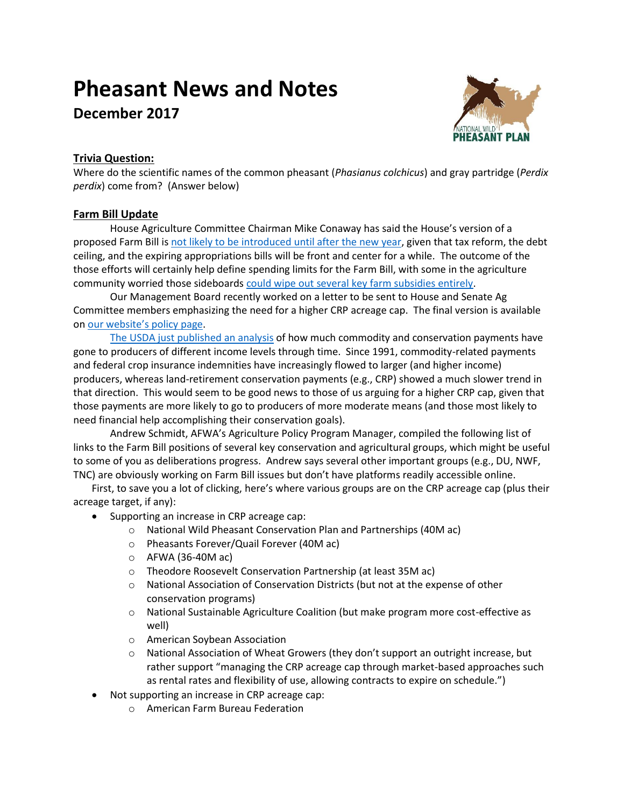# **Pheasant News and Notes**

**December 2017**



# **Trivia Question:**

Where do the scientific names of the common pheasant (*Phasianus colchicus*) and gray partridge (*Perdix perdix*) come from? (Answer below)

## **Farm Bill Update**

House Agriculture Committee Chairman Mike Conaway has said the House's version of a proposed Farm Bill is [not likely to be introduced until after the new year,](http://brownfieldagnews.com/news/conaway-says-farm-bill-delayed-slightly/) given that tax reform, the debt ceiling, and the expiring appropriations bills will be front and center for a while. The outcome of the those efforts will certainly help define spending limits for the Farm Bill, with some in the agriculture community worried those sideboards [could wipe out several key farm subsidies entirely.](https://www.agriculture.com/news/business/tax-cuts-may-come-back-to-bite-farm-subsidies-says-nfu)

Our Management Board recently worked on a letter to be sent to House and Senate Ag Committee members emphasizing the need for a higher CRP acreage cap. The final version is available on [our website's policy page](http://nationalpheasantplan.org/policy/).

[The USDA just published an analysis](https://www.ers.usda.gov/webdocs/publications/85834/eib-184.pdf?v=43068) of how much commodity and conservation payments have gone to producers of different income levels through time. Since 1991, commodity-related payments and federal crop insurance indemnities have increasingly flowed to larger (and higher income) producers, whereas land-retirement conservation payments (e.g., CRP) showed a much slower trend in that direction. This would seem to be good news to those of us arguing for a higher CRP cap, given that those payments are more likely to go to producers of more moderate means (and those most likely to need financial help accomplishing their conservation goals).

Andrew Schmidt, AFWA's Agriculture Policy Program Manager, compiled the following list of links to the Farm Bill positions of several key conservation and agricultural groups, which might be useful to some of you as deliberations progress. Andrew says several other important groups (e.g., DU, NWF, TNC) are obviously working on Farm Bill issues but don't have platforms readily accessible online.

First, to save you a lot of clicking, here's where various groups are on the CRP acreage cap (plus their acreage target, if any):

- Supporting an increase in CRP acreage cap:
	- o National Wild Pheasant Conservation Plan and Partnerships (40M ac)
	- o Pheasants Forever/Quail Forever (40M ac)
	- o AFWA (36-40M ac)
	- o Theodore Roosevelt Conservation Partnership (at least 35M ac)
	- o National Association of Conservation Districts (but not at the expense of other conservation programs)
	- o National Sustainable Agriculture Coalition (but make program more cost-effective as well)
	- o American Soybean Association
	- $\circ$  National Association of Wheat Growers (they don't support an outright increase, but rather support "managing the CRP acreage cap through market-based approaches such as rental rates and flexibility of use, allowing contracts to expire on schedule.")
- Not supporting an increase in CRP acreage cap:
	- o American Farm Bureau Federation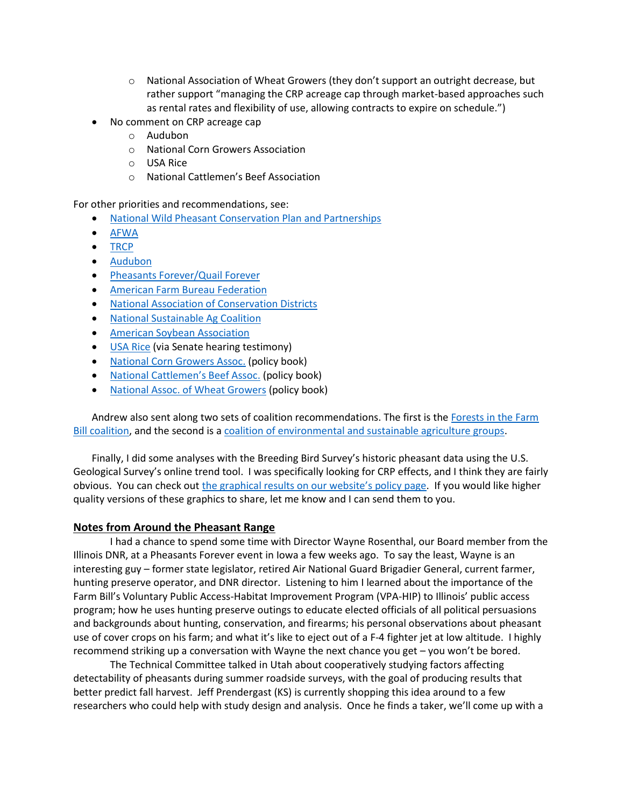- $\circ$  National Association of Wheat Growers (they don't support an outright decrease, but rather support "managing the CRP acreage cap through market-based approaches such as rental rates and flexibility of use, allowing contracts to expire on schedule.")
- No comment on CRP acreage cap
	- o Audubon
	- o National Corn Growers Association
	- o USA Rice
	- o National Cattlemen's Beef Association

For other priorities and recommendations, see:

- [National Wild Pheasant Conservation Plan and Partnerships](http://nationalpheasantplan.org/policy/)
- [AFWA](http://www.fishwildlife.org/files/2-pager_AFWA_Policy_Priorities_for_the_2018_Farm_Bill.pdf)
- [TRCP](http://www.trcp.org/wp-content/uploads/2017/10/AWWG_2018-FB_Recs_101617.pdf)
- [Audubon](https://www.audubon.org/sites/default/files/audubon_2018_farm_bill_platform.pdf)
- [Pheasants Forever/Quail Forever](https://www.pheasantsforever.org/Habitat/Farm-Bill-Priorities.aspx)
- [American Farm Bureau Federation](https://www.fb.org/files/Haney_Testimony-FINAL17.0719.pdf)
- [National Association of Conservation Districts](http://www.nacdnet.org/2017/09/19/nacds-2018-farm-bill-requests/)
- [National Sustainable Ag Coalition](http://sustainableagriculture.net/wp-content/uploads/2017/10/2018-Farm-Bill-Platform-EMBARGOED-UNTIL-OCT-24.pdf)
- [American Soybean Association](https://soygrowers.com/wp-content/uploads/2013/02/1-2018-Farm-Bill-Priorities.pdf)
- [USA Rice](https://www.agriculture.senate.gov/imo/media/doc/TESTIMONY_JAMES.pdf) (via Senate hearing testimony)
- [National Corn Growers Assoc.](http://www.ncga.com/public-policy/policy-book) (policy book)
- National Cattl[emen's Beef Assoc.](http://cqrcengage.com/beefusa/file/x5D3pvXpumN/2017NCBAPolicyBook.pdf) (policy book)
- [National Assoc. of Wheat Growers](https://www.wheatworld.org/wp-content/uploads/2017/08/SECTION-3C-POLICY-RESOLUTIONS-Updated-2017.pdf) (policy book)

Andrew also sent along two sets of coalition recommendations. The first is the Forests in the Farm [Bill coalition,](https://www.forestfoundation.org/stuff/contentmgr/files/1/97181b16014154f00ac6a61a807ae88a/files/forests_in_the_farm_bill_2018_recommendations_july_21_2017.pdf) and the second is a [coalition of environmental and sustainable agriculture groups.](http://nfu.org/wp-content/uploads/2017/09/2018-Conservation-Farm-Bill-Consensus-Statement-FINAL.pdf)

Finally, I did some analyses with the Breeding Bird Survey's historic pheasant data using the U.S. Geological Survey's online trend tool. I was specifically looking for CRP effects, and I think they are fairly obvious. You can check out the [graphical results on our website's policy page](http://nationalpheasantplan.org/policy/). If you would like higher quality versions of these graphics to share, let me know and I can send them to you.

## **Notes from Around the Pheasant Range**

I had a chance to spend some time with Director Wayne Rosenthal, our Board member from the Illinois DNR, at a Pheasants Forever event in Iowa a few weeks ago. To say the least, Wayne is an interesting guy – former state legislator, retired Air National Guard Brigadier General, current farmer, hunting preserve operator, and DNR director. Listening to him I learned about the importance of the Farm Bill's Voluntary Public Access-Habitat Improvement Program (VPA-HIP) to Illinois' public access program; how he uses hunting preserve outings to educate elected officials of all political persuasions and backgrounds about hunting, conservation, and firearms; his personal observations about pheasant use of cover crops on his farm; and what it's like to eject out of a F-4 fighter jet at low altitude. I highly recommend striking up a conversation with Wayne the next chance you get – you won't be bored.

The Technical Committee talked in Utah about cooperatively studying factors affecting detectability of pheasants during summer roadside surveys, with the goal of producing results that better predict fall harvest. Jeff Prendergast (KS) is currently shopping this idea around to a few researchers who could help with study design and analysis. Once he finds a taker, we'll come up with a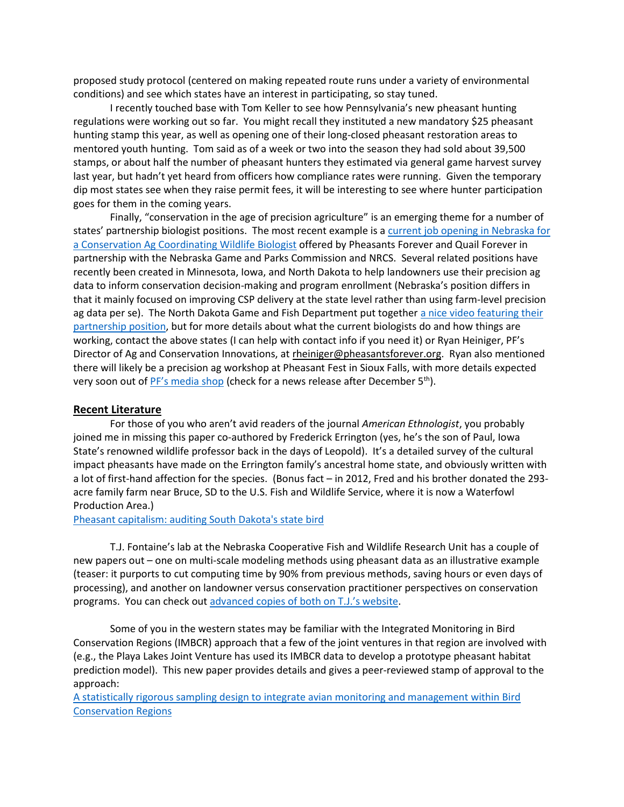proposed study protocol (centered on making repeated route runs under a variety of environmental conditions) and see which states have an interest in participating, so stay tuned.

I recently touched base with Tom Keller to see how Pennsylvania's new pheasant hunting regulations were working out so far. You might recall they instituted a new mandatory \$25 pheasant hunting stamp this year, as well as opening one of their long-closed pheasant restoration areas to mentored youth hunting. Tom said as of a week or two into the season they had sold about 39,500 stamps, or about half the number of pheasant hunters they estimated via general game harvest survey last year, but hadn't yet heard from officers how compliance rates were running. Given the temporary dip most states see when they raise permit fees, it will be interesting to see where hunter participation goes for them in the coming years.

Finally, "conservation in the age of precision agriculture" is an emerging theme for a number of states' partnership biologist positions. The most recent example is [a current job opening in Nebraska for](https://workforcenow.adp.com/jobs/apply/posting.html?client=pheasants&jobId=175804&lang=en_US&source=CC3)  [a Conservation Ag Coordinating Wildlife Biologist](https://workforcenow.adp.com/jobs/apply/posting.html?client=pheasants&jobId=175804&lang=en_US&source=CC3) offered by Pheasants Forever and Quail Forever in partnership with the Nebraska Game and Parks Commission and NRCS. Several related positions have recently been created in Minnesota, Iowa, and North Dakota to help landowners use their precision ag data to inform conservation decision-making and program enrollment (Nebraska's position differs in that it mainly focused on improving CSP delivery at the state level rather than using farm-level precision ag data per se). The North Dakota Game and Fish Department put togethe[r a nice video featuring their](https://www.youtube.com/watch?v=EM9sCDBQr7A)  [partnership position,](https://www.youtube.com/watch?v=EM9sCDBQr7A) but for more details about what the current biologists do and how things are working, contact the above states (I can help with contact info if you need it) or Ryan Heiniger, PF's Director of Ag and Conservation Innovations, at rheiniger@pheasantsforever.org. Ryan also mentioned there will likely be a precision ag workshop at Pheasant Fest in Sioux Falls, with more details expected very soon out of  $PF's$  media shop (check for a news release after December  $5<sup>th</sup>$ ).

#### **Recent Literature**

For those of you who aren't avid readers of the journal *American Ethnologist*, you probably joined me in missing this paper co-authored by Frederick Errington (yes, he's the son of Paul, Iowa State's renowned wildlife professor back in the days of Leopold). It's a detailed survey of the cultural impact pheasants have made on the Errington family's ancestral home state, and obviously written with a lot of first-hand affection for the species. (Bonus fact – in 2012, Fred and his brother donated the 293 acre family farm near Bruce, SD to the U.S. Fish and Wildlife Service, where it is now a Waterfowl Production Area.)

#### [Pheasant capitalism: auditing South Dakota's state bird](http://nationalpheasantplan.org/wp-content/uploads/2017/11/ERRINGTON_et_al-2015-American_Ethnologist.pdf)

T.J. Fontaine's lab at the Nebraska Cooperative Fish and Wildlife Research Unit has a couple of new papers out – one on multi-scale modeling methods using pheasant data as an illustrative example (teaser: it purports to cut computing time by 90% from previous methods, saving hours or even days of processing), and another on landowner versus conservation practitioner perspectives on conservation programs. You can check out [advanced copies](https://sites.google.com/site/tjfontaineunl/TJ-Fontaine/publications) of both on T.J.'s website.

Some of you in the western states may be familiar with the Integrated Monitoring in Bird Conservation Regions (IMBCR) approach that a few of the joint ventures in that region are involved with (e.g., the Playa Lakes Joint Venture has used its IMBCR data to develop a prototype pheasant habitat prediction model). This new paper provides details and gives a peer-reviewed stamp of approval to the approach:

[A statistically rigorous sampling design to integrate avian monitoring and management within Bird](http://journals.plos.org/plosone/article?id=10.1371/journal.pone.0185924)  [Conservation Regions](http://journals.plos.org/plosone/article?id=10.1371/journal.pone.0185924)